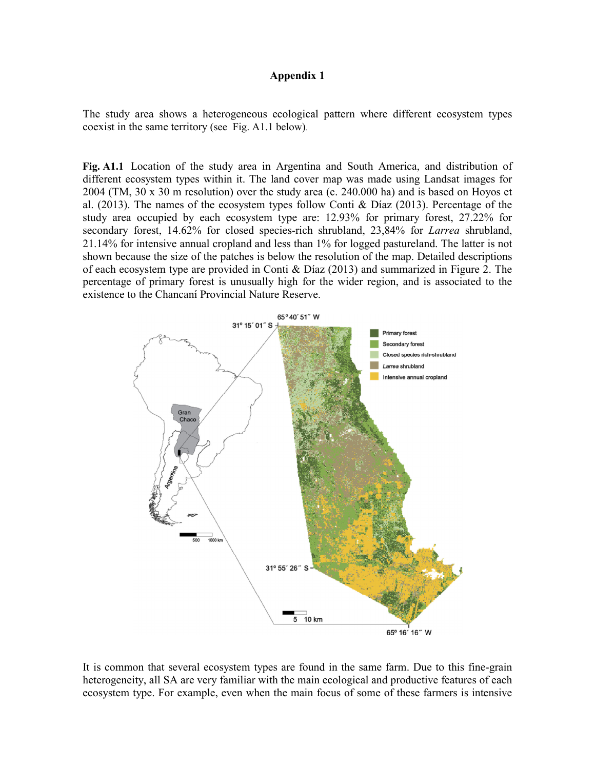## **Appendix 1**

The study area shows a heterogeneous ecological pattern where different ecosystem types coexist in the same territory (see Fig. A1.1 below).

Fig. A1.1 Location of the study area in Argentina and South America, and distribution of different ecosystem types within it. The land cover map was made using Landsat images for 2004 (TM, 30 x 30 m resolution) over the study area (c. 240.000 ha) and is based on Hoyos et al. (2013). The names of the ecosystem types follow Conti & Díaz (2013). Percentage of the study area occupied by each ecosystem type are: 12.93% for primary forest, 27.22% for secondary forest, 14.62% for closed species-rich shrubland, 23,84% for *Larrea* shrubland, 21.14% for intensive annual cropland and less than 1% for logged pastureland. The latter is not shown because the size of the patches is below the resolution of the map. Detailed descriptions of each ecosystem type are provided in Conti & Díaz (2013) and summarized in Figure 2. The percentage of primary forest is unusually high for the wider region, and is associated to the existence to the Chancaní Provincial Nature Reserve.



It is common that several ecosystem types are found in the same farm. Due to this fine-grain heterogeneity, all SA are very familiar with the main ecological and productive features of each ecosystem type. For example, even when the main focus of some of these farmers is intensive